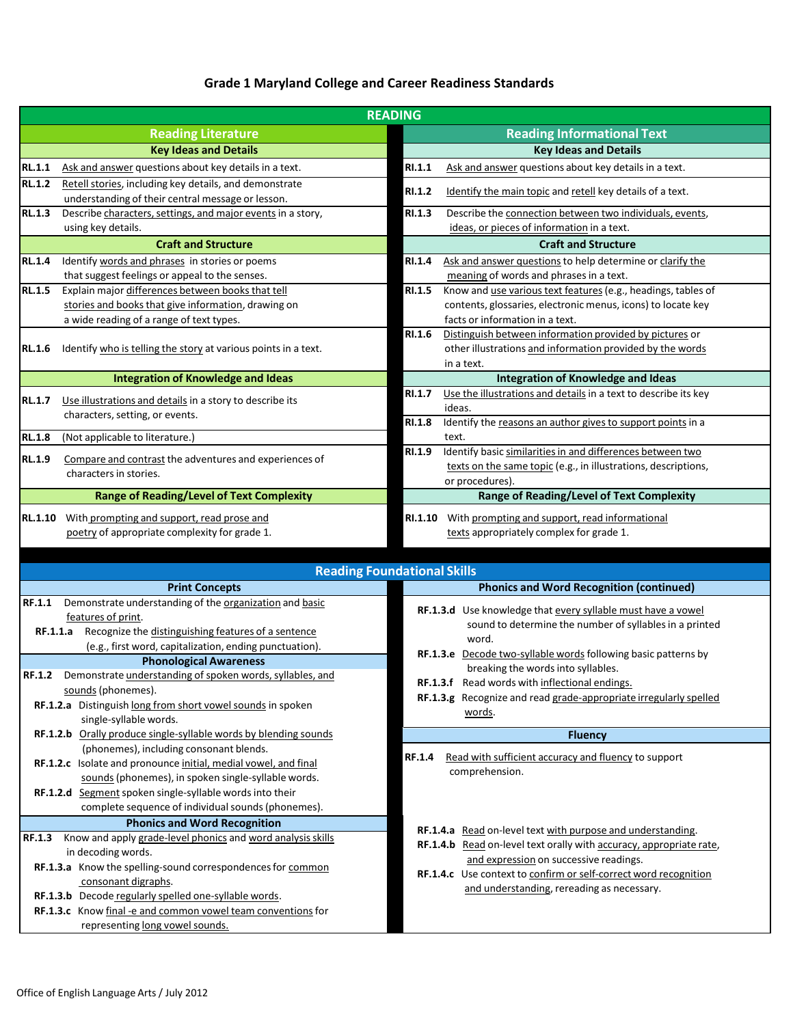## **Grade 1 Maryland College and Career Readiness Standards**

|                                                                                 |                                                                                                             | <b>READING</b>                                                    |                                                                                                        |  |  |
|---------------------------------------------------------------------------------|-------------------------------------------------------------------------------------------------------------|-------------------------------------------------------------------|--------------------------------------------------------------------------------------------------------|--|--|
|                                                                                 | <b>Reading Literature</b>                                                                                   |                                                                   | <b>Reading Informational Text</b>                                                                      |  |  |
|                                                                                 | <b>Key Ideas and Details</b>                                                                                |                                                                   | <b>Key Ideas and Details</b>                                                                           |  |  |
| <b>RL.1.1</b>                                                                   | Ask and answer questions about key details in a text.                                                       | RI.1.1                                                            | Ask and answer questions about key details in a text.                                                  |  |  |
| <b>RL.1.2</b>                                                                   | Retell stories, including key details, and demonstrate<br>understanding of their central message or lesson. | RI.1.2                                                            | Identify the main topic and retell key details of a text.                                              |  |  |
| <b>RL.1.3</b>                                                                   | Describe characters, settings, and major events in a story,<br>using key details.                           | <b>RI.1.3</b>                                                     | Describe the connection between two individuals, events,<br>ideas, or pieces of information in a text. |  |  |
|                                                                                 | <b>Craft and Structure</b>                                                                                  |                                                                   | <b>Craft and Structure</b>                                                                             |  |  |
| <b>RL.1.4</b>                                                                   | Identify words and phrases in stories or poems                                                              | RI.1.4                                                            | Ask and answer questions to help determine or clarify the                                              |  |  |
|                                                                                 | that suggest feelings or appeal to the senses.                                                              |                                                                   | meaning of words and phrases in a text.                                                                |  |  |
| <b>RL.1.5</b>                                                                   | Explain major differences between books that tell                                                           | RI.1.5                                                            | Know and use various text features (e.g., headings, tables of                                          |  |  |
|                                                                                 | stories and books that give information, drawing on                                                         |                                                                   | contents, glossaries, electronic menus, icons) to locate key                                           |  |  |
|                                                                                 | a wide reading of a range of text types.                                                                    |                                                                   | facts or information in a text.                                                                        |  |  |
|                                                                                 |                                                                                                             | RI.1.6                                                            | Distinguish between information provided by pictures or                                                |  |  |
| Identify who is telling the story at various points in a text.<br><b>RL.1.6</b> |                                                                                                             |                                                                   | other illustrations and information provided by the words                                              |  |  |
|                                                                                 |                                                                                                             |                                                                   | in a text.                                                                                             |  |  |
|                                                                                 | <b>Integration of Knowledge and Ideas</b>                                                                   |                                                                   | <b>Integration of Knowledge and Ideas</b>                                                              |  |  |
| <b>RL.1.7</b>                                                                   | Use illustrations and details in a story to describe its                                                    | <b>RI.1.7</b>                                                     | Use the illustrations and details in a text to describe its key                                        |  |  |
|                                                                                 | characters, setting, or events.                                                                             |                                                                   | ideas.                                                                                                 |  |  |
|                                                                                 |                                                                                                             | <b>RI.1.8</b>                                                     | Identify the reasons an author gives to support points in a                                            |  |  |
| $\overline{\text{RL}}.1.8$                                                      | (Not applicable to literature.)                                                                             |                                                                   | text.                                                                                                  |  |  |
| <b>RL.1.9</b>                                                                   | Compare and contrast the adventures and experiences of                                                      | <b>RI.1.9</b>                                                     | Identify basic similarities in and differences between two                                             |  |  |
|                                                                                 | characters in stories.                                                                                      |                                                                   | texts on the same topic (e.g., in illustrations, descriptions,                                         |  |  |
|                                                                                 |                                                                                                             |                                                                   | or procedures).                                                                                        |  |  |
|                                                                                 | <b>Range of Reading/Level of Text Complexity</b>                                                            |                                                                   | <b>Range of Reading/Level of Text Complexity</b>                                                       |  |  |
| <b>RL.1.10</b>                                                                  | With prompting and support, read prose and                                                                  | RI.1.10                                                           | With prompting and support, read informational                                                         |  |  |
|                                                                                 | poetry of appropriate complexity for grade 1.                                                               |                                                                   | texts appropriately complex for grade 1.                                                               |  |  |
|                                                                                 |                                                                                                             |                                                                   |                                                                                                        |  |  |
|                                                                                 | <b>Reading Foundational Skills</b>                                                                          |                                                                   |                                                                                                        |  |  |
|                                                                                 | <b>Print Concepts</b>                                                                                       |                                                                   | <b>Phonics and Word Recognition (continued)</b>                                                        |  |  |
| <b>RF.1.1</b>                                                                   | Demonstrate understanding of the organization and basic                                                     |                                                                   | RF.1.3.d Use knowledge that every syllable must have a vowel                                           |  |  |
|                                                                                 | features of print.                                                                                          |                                                                   | sound to determine the number of syllables in a printed                                                |  |  |
| <b>RF.1.1.a</b>                                                                 | Recognize the distinguishing features of a sentence                                                         |                                                                   | word.                                                                                                  |  |  |
|                                                                                 | (e.g., first word, capitalization, ending punctuation).                                                     |                                                                   | RF.1.3.e Decode two-syllable words following basic patterns by                                         |  |  |
|                                                                                 | <b>Phonological Awareness</b>                                                                               |                                                                   | breaking the words into syllables.                                                                     |  |  |
| Demonstrate understanding of spoken words, syllables, and<br><b>RF.1.2</b>      |                                                                                                             |                                                                   | RF.1.3.f Read words with inflectional endings.                                                         |  |  |
|                                                                                 | sounds (phonemes).                                                                                          | RF.1.3.g Recognize and read grade-appropriate irregularly spelled |                                                                                                        |  |  |
|                                                                                 | RF.1.2.a Distinguish long from short vowel sounds in spoken                                                 |                                                                   | words.                                                                                                 |  |  |
|                                                                                 | single-syllable words.<br>RF.1.2.b Orally produce single-syllable words by blending sounds                  |                                                                   |                                                                                                        |  |  |
|                                                                                 | (phonemes), including consonant blends.                                                                     |                                                                   | <b>Fluency</b>                                                                                         |  |  |
|                                                                                 | RF.1.2.c Isolate and pronounce initial, medial vowel, and final                                             | <b>RF.1.4</b>                                                     | Read with sufficient accuracy and fluency to support                                                   |  |  |
|                                                                                 | sounds (phonemes), in spoken single-syllable words.                                                         |                                                                   | comprehension.                                                                                         |  |  |
|                                                                                 | RF.1.2.d Segment spoken single-syllable words into their                                                    |                                                                   |                                                                                                        |  |  |
|                                                                                 | complete sequence of individual sounds (phonemes).                                                          |                                                                   |                                                                                                        |  |  |
|                                                                                 | <b>Phonics and Word Recognition</b>                                                                         |                                                                   |                                                                                                        |  |  |
| <b>RF.1.3</b>                                                                   | Know and apply grade-level phonics and word analysis skills                                                 |                                                                   | RF.1.4.a Read on-level text with purpose and understanding.                                            |  |  |
|                                                                                 | in decoding words.                                                                                          |                                                                   | RF.1.4.b Read on-level text orally with accuracy, appropriate rate,                                    |  |  |
|                                                                                 | RF.1.3.a Know the spelling-sound correspondences for common                                                 |                                                                   | and expression on successive readings.                                                                 |  |  |
|                                                                                 | consonant digraphs.                                                                                         |                                                                   | RF.1.4.c Use context to confirm or self-correct word recognition                                       |  |  |
|                                                                                 | RF.1.3.b Decode regularly spelled one-syllable words.                                                       |                                                                   | and understanding, rereading as necessary.                                                             |  |  |
|                                                                                 |                                                                                                             |                                                                   |                                                                                                        |  |  |
|                                                                                 | RF.1.3.c Know final -e and common vowel team conventions for                                                |                                                                   |                                                                                                        |  |  |